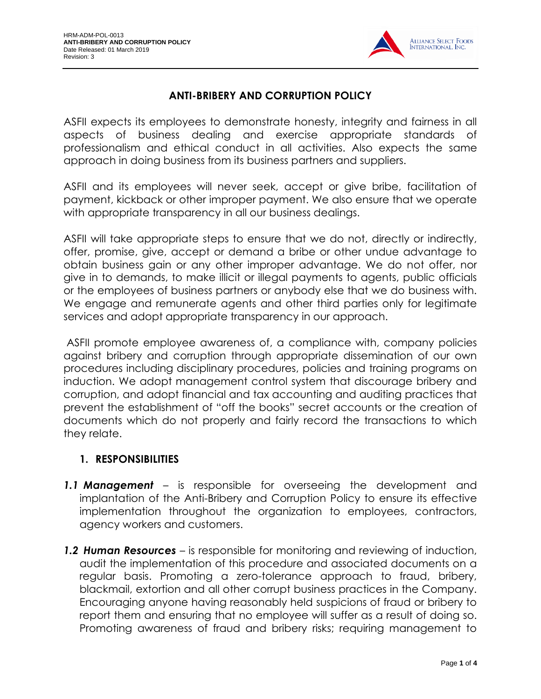

# **ANTI-BRIBERY AND CORRUPTION POLICY**

ASFII expects its employees to demonstrate honesty, integrity and fairness in all aspects of business dealing and exercise appropriate standards of professionalism and ethical conduct in all activities. Also expects the same approach in doing business from its business partners and suppliers.

ASFII and its employees will never seek, accept or give bribe, facilitation of payment, kickback or other improper payment. We also ensure that we operate with appropriate transparency in all our business dealings.

ASFII will take appropriate steps to ensure that we do not, directly or indirectly, offer, promise, give, accept or demand a bribe or other undue advantage to obtain business gain or any other improper advantage. We do not offer, nor give in to demands, to make illicit or illegal payments to agents, public officials or the employees of business partners or anybody else that we do business with. We engage and remunerate agents and other third parties only for legitimate services and adopt appropriate transparency in our approach.

ASFII promote employee awareness of, a compliance with, company policies against bribery and corruption through appropriate dissemination of our own procedures including disciplinary procedures, policies and training programs on induction. We adopt management control system that discourage bribery and corruption, and adopt financial and tax accounting and auditing practices that prevent the establishment of "off the books" secret accounts or the creation of documents which do not properly and fairly record the transactions to which they relate.

## **1. RESPONSIBILITIES**

- *1.1 Management* is responsible for overseeing the development and implantation of the Anti-Bribery and Corruption Policy to ensure its effective implementation throughout the organization to employees, contractors, agency workers and customers.
- *1.2 Human Resources* is responsible for monitoring and reviewing of induction, audit the implementation of this procedure and associated documents on a regular basis. Promoting a zero-tolerance approach to fraud, bribery, blackmail, extortion and all other corrupt business practices in the Company. Encouraging anyone having reasonably held suspicions of fraud or bribery to report them and ensuring that no employee will suffer as a result of doing so. Promoting awareness of fraud and bribery risks; requiring management to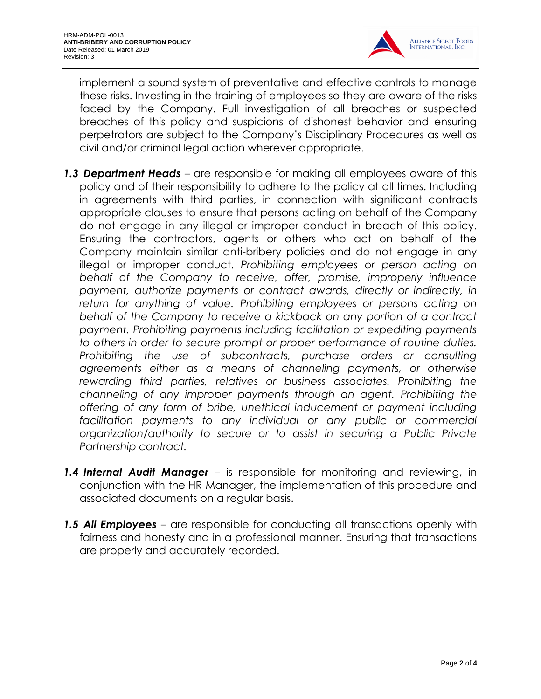

implement a sound system of preventative and effective controls to manage these risks. Investing in the training of employees so they are aware of the risks faced by the Company. Full investigation of all breaches or suspected breaches of this policy and suspicions of dishonest behavior and ensuring perpetrators are subject to the Company's Disciplinary Procedures as well as civil and/or criminal legal action wherever appropriate.

- *1.3 Department Heads* are responsible for making all employees aware of this policy and of their responsibility to adhere to the policy at all times. Including in agreements with third parties, in connection with significant contracts appropriate clauses to ensure that persons acting on behalf of the Company do not engage in any illegal or improper conduct in breach of this policy. Ensuring the contractors, agents or others who act on behalf of the Company maintain similar anti-bribery policies and do not engage in any illegal or improper conduct. *Prohibiting employees or person acting on behalf of the Company to receive, offer, promise, improperly influence payment, authorize payments or contract awards, directly or indirectly, in return for anything of value. Prohibiting employees or persons acting on behalf of the Company to receive a kickback on any portion of a contract payment. Prohibiting payments including facilitation or expediting payments to others in order to secure prompt or proper performance of routine duties. Prohibiting the use of subcontracts, purchase orders or consulting agreements either as a means of channeling payments, or otherwise rewarding third parties, relatives or business associates. Prohibiting the channeling of any improper payments through an agent. Prohibiting the offering of any form of bribe, unethical inducement or payment including facilitation payments to any individual or any public or commercial organization/authority to secure or to assist in securing a Public Private Partnership contract.*
- *1.4 Internal Audit Manager* is responsible for monitoring and reviewing, in conjunction with the HR Manager, the implementation of this procedure and associated documents on a regular basis.
- *1.5 All Employees* are responsible for conducting all transactions openly with fairness and honesty and in a professional manner. Ensuring that transactions are properly and accurately recorded.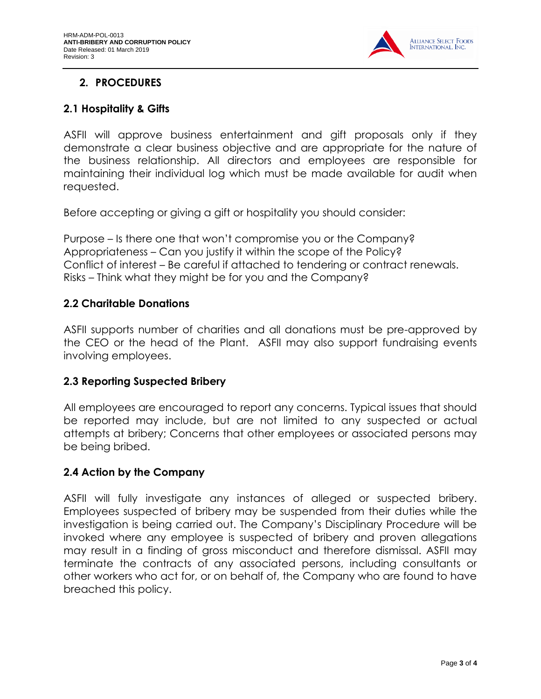

# **2. PROCEDURES**

#### **2.1 Hospitality & Gifts**

ASFII will approve business entertainment and gift proposals only if they demonstrate a clear business objective and are appropriate for the nature of the business relationship. All directors and employees are responsible for maintaining their individual log which must be made available for audit when requested.

Before accepting or giving a gift or hospitality you should consider:

Purpose – Is there one that won't compromise you or the Company? Appropriateness – Can you justify it within the scope of the Policy? Conflict of interest – Be careful if attached to tendering or contract renewals. Risks – Think what they might be for you and the Company?

### **2.2 Charitable Donations**

ASFII supports number of charities and all donations must be pre-approved by the CEO or the head of the Plant. ASFII may also support fundraising events involving employees.

## **2.3 Reporting Suspected Bribery**

All employees are encouraged to report any concerns. Typical issues that should be reported may include, but are not limited to any suspected or actual attempts at bribery; Concerns that other employees or associated persons may be being bribed.

#### **2.4 Action by the Company**

ASFII will fully investigate any instances of alleged or suspected bribery. Employees suspected of bribery may be suspended from their duties while the investigation is being carried out. The Company's Disciplinary Procedure will be invoked where any employee is suspected of bribery and proven allegations may result in a finding of gross misconduct and therefore dismissal. ASFII may terminate the contracts of any associated persons, including consultants or other workers who act for, or on behalf of, the Company who are found to have breached this policy.